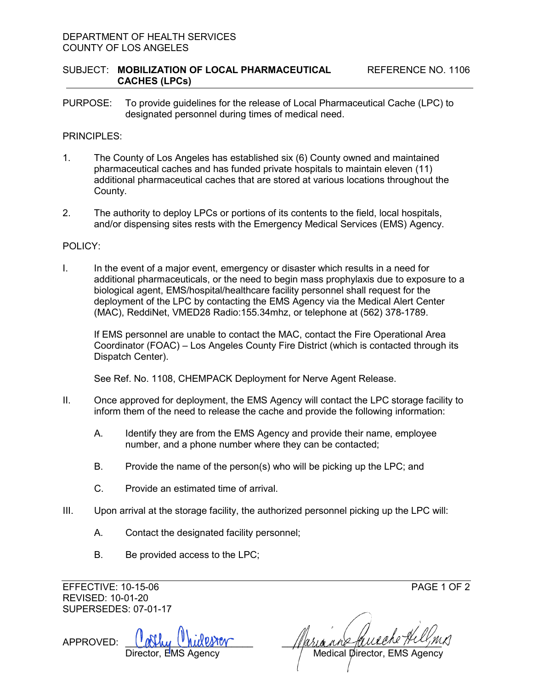### DEPARTMENT OF HEALTH SERVICES COUNTY OF LOS ANGELES

PURPOSE: To provide guidelines for the release of Local Pharmaceutical Cache (LPC) to designated personnel during times of medical need.

## PRINCIPI FS<sup>.</sup>

- 1. The County of Los Angeles has established six (6) County owned and maintained pharmaceutical caches and has funded private hospitals to maintain eleven (11) additional pharmaceutical caches that are stored at various locations throughout the County.
- 2. The authority to deploy LPCs or portions of its contents to the field, local hospitals, and/or dispensing sites rests with the Emergency Medical Services (EMS) Agency.

### POLICY:

I. In the event of a major event, emergency or disaster which results in a need for additional pharmaceuticals, or the need to begin mass prophylaxis due to exposure to a biological agent, EMS/hospital/healthcare facility personnel shall request for the deployment of the LPC by contacting the EMS Agency via the Medical Alert Center (MAC), ReddiNet, VMED28 Radio:155.34mhz, or telephone at (562) 378-1789.

If EMS personnel are unable to contact the MAC, contact the Fire Operational Area Coordinator (FOAC) – Los Angeles County Fire District (which is contacted through its Dispatch Center).

See Ref. No. 1108, CHEMPACK Deployment for Nerve Agent Release.

- II. Once approved for deployment, the EMS Agency will contact the LPC storage facility to inform them of the need to release the cache and provide the following information:
	- A. Identify they are from the EMS Agency and provide their name, employee number, and a phone number where they can be contacted;
	- B. Provide the name of the person(s) who will be picking up the LPC; and
	- C. Provide an estimated time of arrival.
- III. Upon arrival at the storage facility, the authorized personnel picking up the LPC will:
	- A. Contact the designated facility personnel;
	- B. Be provided access to the LPC;

EFFECTIVE: 10-15-06 PAGE 1 OF 2 REVISED: 10-01-20 SUPERSEDES: 07-01-17

APPROVED:

Medical Director